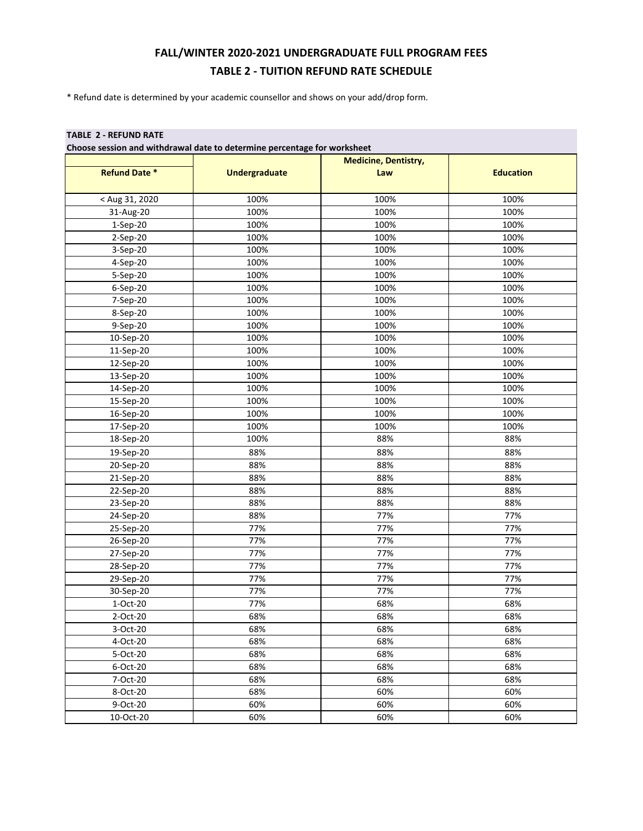## **FALL/WINTER 2020-2021 UNDERGRADUATE FULL PROGRAM FEES TABLE 2 - TUITION REFUND RATE SCHEDULE**

\* Refund date is determined by your academic counsellor and shows on your add/drop form.

## **TABLE 2 - REFUND RATE**

|                      |                      | <b>Medicine, Dentistry,</b> |                  |
|----------------------|----------------------|-----------------------------|------------------|
| <b>Refund Date *</b> | <b>Undergraduate</b> | Law                         | <b>Education</b> |
| < Aug 31, 2020       | 100%                 | 100%                        | 100%             |
| 31-Aug-20            | 100%                 | 100%                        | 100%             |
| $1-Sep-20$           | 100%                 | 100%                        | 100%             |
| 2-Sep-20             | 100%                 | 100%                        | 100%             |
| 3-Sep-20             | 100%                 | 100%                        | 100%             |
| 4-Sep-20             | 100%                 | 100%                        | 100%             |
| 5-Sep-20             | 100%                 | 100%                        | 100%             |
| 6-Sep-20             | 100%                 | 100%                        | 100%             |
| 7-Sep-20             | 100%                 | 100%                        | 100%             |
| 8-Sep-20             | 100%                 | 100%                        | 100%             |
| 9-Sep-20             | 100%                 | 100%                        | 100%             |
| 10-Sep-20            | 100%                 | 100%                        | 100%             |
| 11-Sep-20            | 100%                 | 100%                        | 100%             |
| 12-Sep-20            | 100%                 | 100%                        | 100%             |
| 13-Sep-20            | 100%                 | 100%                        | 100%             |
| 14-Sep-20            | 100%                 | 100%                        | 100%             |
| 15-Sep-20            | 100%                 | 100%                        | 100%             |
| 16-Sep-20            | 100%                 | 100%                        | 100%             |
| 17-Sep-20            | 100%                 | 100%                        | 100%             |
| 18-Sep-20            | 100%                 | 88%                         | 88%              |
| 19-Sep-20            | 88%                  | 88%                         | 88%              |
| 20-Sep-20            | 88%                  | 88%                         | 88%              |
| 21-Sep-20            | 88%                  | 88%                         | 88%              |
| 22-Sep-20            | 88%                  | 88%                         | 88%              |
| 23-Sep-20            | 88%                  | 88%                         | 88%              |
| 24-Sep-20            | 88%                  | 77%                         | 77%              |
| 25-Sep-20            | 77%                  | 77%                         | 77%              |
| 26-Sep-20            | 77%                  | 77%                         | 77%              |
| 27-Sep-20            | 77%                  | 77%                         | 77%              |
| 28-Sep-20            | 77%                  | 77%                         | 77%              |
| 29-Sep-20            | 77%                  | 77%                         | 77%              |
| 30-Sep-20            | 77%                  | 77%                         | 77%              |
| 1-Oct-20             | 77%                  | 68%                         | 68%              |
| 2-Oct-20             | 68%                  | 68%                         | 68%              |
| 3-Oct-20             | 68%                  | 68%                         | 68%              |
| 4-Oct-20             | 68%                  | 68%                         | 68%              |
| 5-Oct-20             | 68%                  | 68%                         | 68%              |
| 6-Oct-20             | 68%                  | 68%                         | 68%              |
| 7-Oct-20             | 68%                  | 68%                         | 68%              |
| 8-Oct-20             | 68%                  | 60%                         | 60%              |
| 9-Oct-20             | 60%                  | 60%                         | 60%              |
| 10-Oct-20            | 60%                  | 60%                         | 60%              |